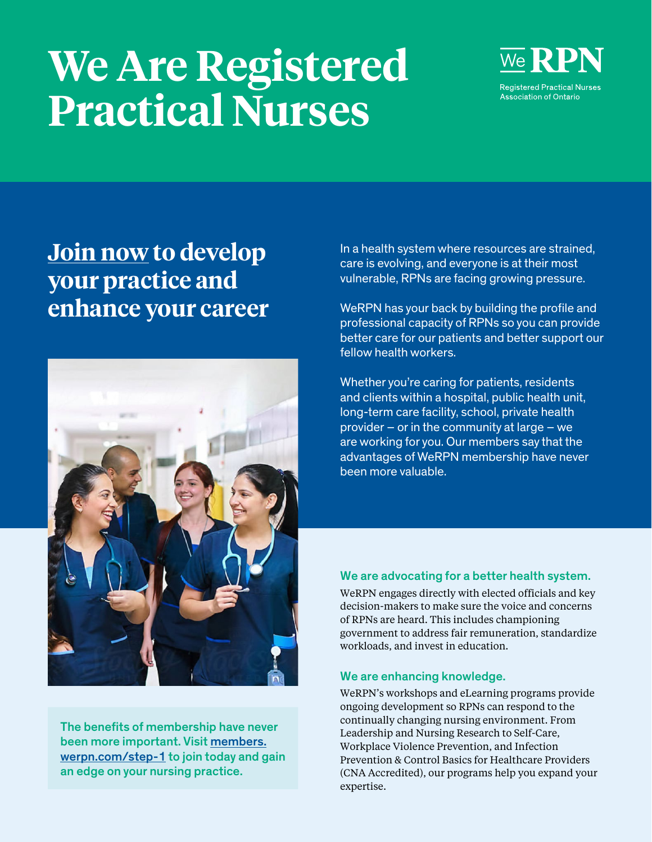# **We Are Registered Practical Nurses**



## **[Join now](http://members.werpn.com/step-1) to develop your practice and enhance your career**



The benefits of membership have never been more important. Visit [members.](http://members.werpn.com/step-1) [werpn.com/step-1](http://members.werpn.com/step-1) to join today and gain an edge on your nursing practice.

In a health system where resources are strained, care is evolving, and everyone is at their most vulnerable, RPNs are facing growing pressure.

WeRPN has your back by building the profile and professional capacity of RPNs so you can provide better care for our patients and better support our fellow health workers.

Whether you're caring for patients, residents and clients within a hospital, public health unit, long-term care facility, school, private health provider – or in the community at large – we are working for you. Our members say that the advantages of WeRPN membership have never been more valuable.

### [We are advocating for a better health system.](http://www.werpn.com/advocacy)

WeRPN engages directly with elected officials and key decision-makers to make sure the voice and concerns of RPNs are heard. This includes championing government to address fair remuneration, standardize workloads, and invest in education.

#### [We are enhancing knowledge.](http://www.werpn.com/learn)

WeRPN's workshops and eLearning programs provide ongoing development so RPNs can respond to the continually changing nursing environment. From Leadership and Nursing Research to Self-Care, Workplace Violence Prevention, and Infection Prevention & Control Basics for Healthcare Providers (CNA Accredited), our programs help you expand your expertise.